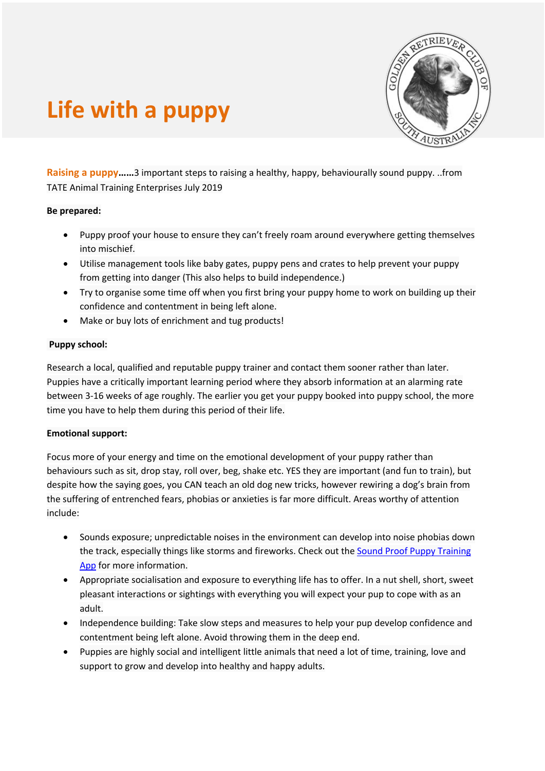

# **Life with a puppy**

**Raising a puppy……**3 important steps to raising a healthy, happy, behaviourally sound puppy. ..from TATE Animal Training Enterprises July 2019

## **Be prepared:**

- Puppy proof your house to ensure they can't freely roam around everywhere getting themselves into mischief.
- Utilise management tools like baby gates, puppy pens and crates to help prevent your puppy from getting into danger (This also helps to build independence.)
- Try to organise some time off when you first bring your puppy home to work on building up their confidence and contentment in being left alone.
- Make or buy lots of enrichment and tug products!

# **Puppy school:**

Research a local, qualified and reputable puppy trainer and contact them sooner rather than later. Puppies have a critically important learning period where they absorb information at an alarming rate between 3-16 weeks of age roughly. The earlier you get your puppy booked into puppy school, the more time you have to help them during this period of their life.

# **Emotional support:**

Focus more of your energy and time on the emotional development of your puppy rather than behaviours such as sit, drop stay, roll over, beg, shake etc. YES they are important (and fun to train), but despite how the saying goes, you CAN teach an old dog new tricks, however rewiring a dog's brain from the suffering of entrenched fears, phobias or anxieties is far more difficult. Areas worthy of attention include:

- Sounds exposure; unpredictable noises in the environment can develop into noise phobias down the track, especially things like storms and fireworks. Check out the Sound Proof Puppy Training App for more information.
- Appropriate socialisation and exposure to everything life has to offer. In a nut shell, short, sweet pleasant interactions or sightings with everything you will expect your pup to cope with as an adult.
- Independence building: Take slow steps and measures to help your pup develop confidence and contentment being left alone. Avoid throwing them in the deep end.
- Puppies are highly social and intelligent little animals that need a lot of time, training, love and support to grow and develop into healthy and happy adults.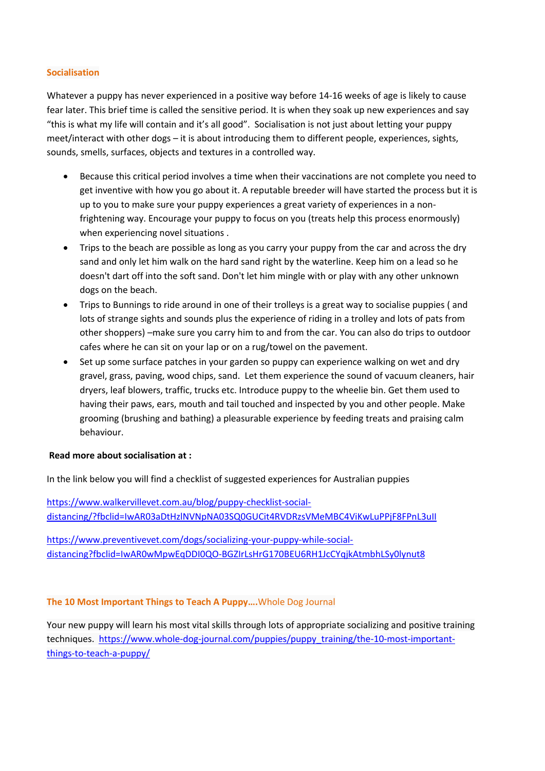## **Socialisation**

Whatever a puppy has never experienced in a positive way before 14-16 weeks of age is likely to cause fear later. This brief time is called the sensitive period. It is when they soak up new experiences and say "this is what my life will contain and it's all good". Socialisation is not just about letting your puppy meet/interact with other dogs – it is about introducing them to different people, experiences, sights, sounds, smells, surfaces, objects and textures in a controlled way.

- Because this critical period involves a time when their vaccinations are not complete you need to get inventive with how you go about it. A reputable breeder will have started the process but it is up to you to make sure your puppy experiences a great variety of experiences in a nonfrightening way. Encourage your puppy to focus on you (treats help this process enormously) when experiencing novel situations .
- Trips to the beach are possible as long as you carry your puppy from the car and across the dry sand and only let him walk on the hard sand right by the waterline. Keep him on a lead so he doesn't dart off into the soft sand. Don't let him mingle with or play with any other unknown dogs on the beach.
- Trips to Bunnings to ride around in one of their trolleys is a great way to socialise puppies ( and lots of strange sights and sounds plus the experience of riding in a trolley and lots of pats from other shoppers) –make sure you carry him to and from the car. You can also do trips to outdoor cafes where he can sit on your lap or on a rug/towel on the pavement.
- Set up some surface patches in your garden so puppy can experience walking on wet and dry gravel, grass, paving, wood chips, sand. Let them experience the sound of vacuum cleaners, hair dryers, leaf blowers, traffic, trucks etc. Introduce puppy to the wheelie bin. Get them used to having their paws, ears, mouth and tail touched and inspected by you and other people. Make grooming (brushing and bathing) a pleasurable experience by feeding treats and praising calm behaviour.

## **Read more about socialisation at :**

In the link below you will find a checklist of suggested experiences for Australian puppies

https://www.walkervillevet.com.au/blog/puppy-checklist-socialdistancing/?fbclid=IwAR03aDtHzlNVNpNA03SQ0GUCit4RVDRzsVMeMBC4ViKwLuPPjF8FPnL3uII

https://www.preventivevet.com/dogs/socializing-your-puppy-while-socialdistancing?fbclid=IwAR0wMpwEqDDI0QO-BGZIrLsHrG170BEU6RH1JcCYqjkAtmbhLSy0lynut8

# **The 10 Most Important Things to Teach A Puppy….**Whole Dog Journal

Your new puppy will learn his most vital skills through lots of appropriate socializing and positive training techniques. https://www.whole-dog-journal.com/puppies/puppy\_training/the-10-most-importantthings-to-teach-a-puppy/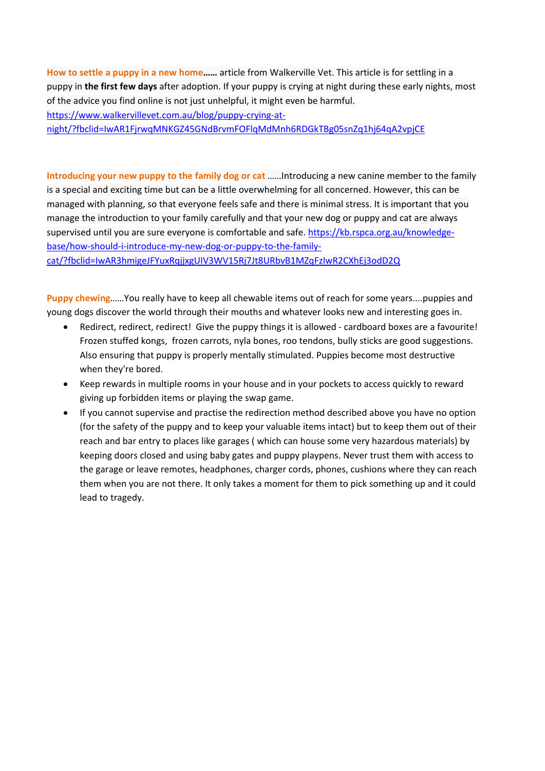**How to settle a puppy in a new home……** article from Walkerville Vet. This article is for settling in a puppy in **the first few days** after adoption. If your puppy is crying at night during these early nights, most of the advice you find online is not just unhelpful, it might even be harmful. https://www.walkervillevet.com.au/blog/puppy-crying-atnight/?fbclid=IwAR1FjrwqMNKGZ45GNdBrvmFOFlqMdMnh6RDGkTBg05snZq1hj64qA2vpjCE

**Introducing your new puppy to the family dog or cat** ……Introducing a new canine member to the family is a special and exciting time but can be a little overwhelming for all concerned. However, this can be managed with planning, so that everyone feels safe and there is minimal stress. It is important that you manage the introduction to your family carefully and that your new dog or puppy and cat are always supervised until you are sure everyone is comfortable and safe. https://kb.rspca.org.au/knowledgebase/how-should-i-introduce-my-new-dog-or-puppy-to-the-familycat/?fbclid=IwAR3hmigeJFYuxRqjjxgUIV3WV15Rj7Jt8URbvB1MZqFzIwR2CXhEj3odD2Q

**Puppy chewing**……You really have to keep all chewable items out of reach for some years....puppies and young dogs discover the world through their mouths and whatever looks new and interesting goes in.

- Redirect, redirect, redirect! Give the puppy things it is allowed cardboard boxes are a favourite! Frozen stuffed kongs, frozen carrots, nyla bones, roo tendons, bully sticks are good suggestions. Also ensuring that puppy is properly mentally stimulated. Puppies become most destructive when they're bored.
- Keep rewards in multiple rooms in your house and in your pockets to access quickly to reward giving up forbidden items or playing the swap game.
- If you cannot supervise and practise the redirection method described above you have no option (for the safety of the puppy and to keep your valuable items intact) but to keep them out of their reach and bar entry to places like garages ( which can house some very hazardous materials) by keeping doors closed and using baby gates and puppy playpens. Never trust them with access to the garage or leave remotes, headphones, charger cords, phones, cushions where they can reach them when you are not there. It only takes a moment for them to pick something up and it could lead to tragedy.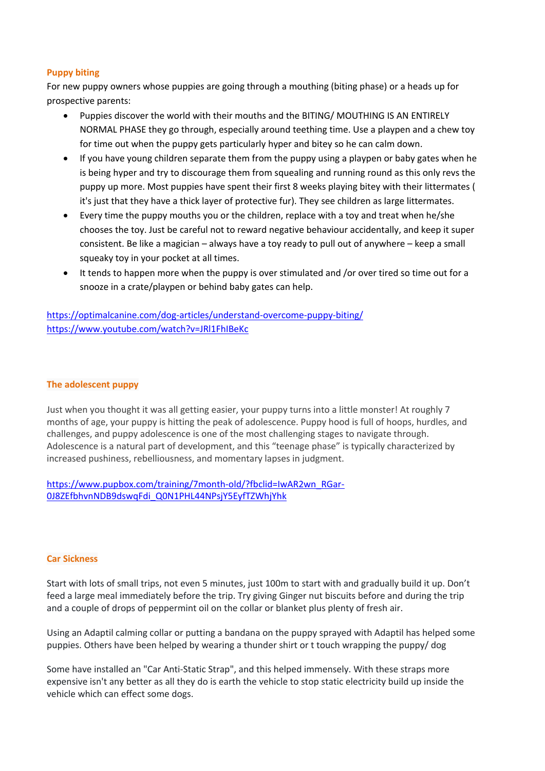# **Puppy biting**

For new puppy owners whose puppies are going through a mouthing (biting phase) or a heads up for prospective parents:

- Puppies discover the world with their mouths and the BITING/ MOUTHING IS AN ENTIRELY NORMAL PHASE they go through, especially around teething time. Use a playpen and a chew toy for time out when the puppy gets particularly hyper and bitey so he can calm down.
- If you have young children separate them from the puppy using a playpen or baby gates when he is being hyper and try to discourage them from squealing and running round as this only revs the puppy up more. Most puppies have spent their first 8 weeks playing bitey with their littermates ( it's just that they have a thick layer of protective fur). They see children as large littermates.
- Every time the puppy mouths you or the children, replace with a toy and treat when he/she chooses the toy. Just be careful not to reward negative behaviour accidentally, and keep it super consistent. Be like a magician – always have a toy ready to pull out of anywhere – keep a small squeaky toy in your pocket at all times.
- It tends to happen more when the puppy is over stimulated and /or over tired so time out for a snooze in a crate/playpen or behind baby gates can help.

https://optimalcanine.com/dog-articles/understand-overcome-puppy-biting/ https://www.youtube.com/watch?v=JRl1FhIBeKc

#### **The adolescent puppy**

Just when you thought it was all getting easier, your puppy turns into a little monster! At roughly 7 months of age, your puppy is hitting the peak of adolescence. Puppy hood is full of hoops, hurdles, and challenges, and puppy adolescence is one of the most challenging stages to navigate through. Adolescence is a natural part of development, and this "teenage phase" is typically characterized by increased pushiness, rebelliousness, and momentary lapses in judgment.

https://www.pupbox.com/training/7month-old/?fbclid=IwAR2wn\_RGar-0J8ZEfbhvnNDB9dswqFdi\_Q0N1PHL44NPsjY5EyfTZWhjYhk

#### **Car Sickness**

Start with lots of small trips, not even 5 minutes, just 100m to start with and gradually build it up. Don't feed a large meal immediately before the trip. Try giving Ginger nut biscuits before and during the trip and a couple of drops of peppermint oil on the collar or blanket plus plenty of fresh air.

Using an Adaptil calming collar or putting a bandana on the puppy sprayed with Adaptil has helped some puppies. Others have been helped by wearing a thunder shirt or t touch wrapping the puppy/ dog

Some have installed an "Car Anti-Static Strap", and this helped immensely. With these straps more expensive isn't any better as all they do is earth the vehicle to stop static electricity build up inside the vehicle which can effect some dogs.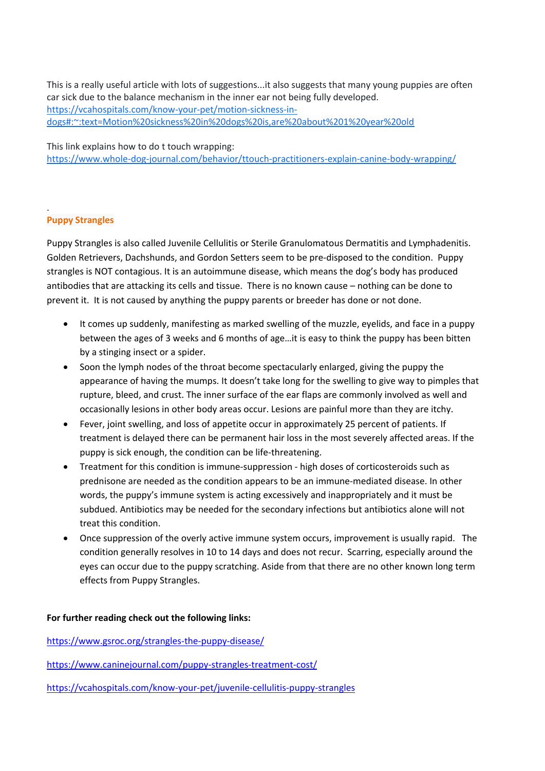This is a really useful article with lots of suggestions...it also suggests that many young puppies are often car sick due to the balance mechanism in the inner ear not being fully developed. https://vcahospitals.com/know-your-pet/motion-sickness-indogs#:~:text=Motion%20sickness%20in%20dogs%20is,are%20about%201%20year%20old

This link explains how to do t touch wrapping: https://www.whole-dog-journal.com/behavior/ttouch-practitioners-explain-canine-body-wrapping/

# **Puppy Strangles**

.

Puppy Strangles is also called Juvenile Cellulitis or Sterile Granulomatous Dermatitis and Lymphadenitis. Golden Retrievers, Dachshunds, and Gordon Setters seem to be pre-disposed to the condition. Puppy strangles is NOT contagious. It is an autoimmune disease, which means the dog's body has produced antibodies that are attacking its cells and tissue. There is no known cause – nothing can be done to prevent it. It is not caused by anything the puppy parents or breeder has done or not done.

- It comes up suddenly, manifesting as marked swelling of the muzzle, eyelids, and face in a puppy between the ages of 3 weeks and 6 months of age…it is easy to think the puppy has been bitten by a stinging insect or a spider.
- Soon the lymph nodes of the throat become spectacularly enlarged, giving the puppy the appearance of having the mumps. It doesn't take long for the swelling to give way to pimples that rupture, bleed, and crust. The inner surface of the ear flaps are commonly involved as well and occasionally lesions in other body areas occur. Lesions are painful more than they are itchy.
- Fever, joint swelling, and loss of appetite occur in approximately 25 percent of patients. If treatment is delayed there can be permanent hair loss in the most severely affected areas. If the puppy is sick enough, the condition can be life-threatening.
- Treatment for this condition is immune-suppression high doses of corticosteroids such as prednisone are needed as the condition appears to be an immune-mediated disease. In other words, the puppy's immune system is acting excessively and inappropriately and it must be subdued. Antibiotics may be needed for the secondary infections but antibiotics alone will not treat this condition.
- Once suppression of the overly active immune system occurs, improvement is usually rapid. The condition generally resolves in 10 to 14 days and does not recur. Scarring, especially around the eyes can occur due to the puppy scratching. Aside from that there are no other known long term effects from Puppy Strangles.

# **For further reading check out the following links:**

https://www.gsroc.org/strangles-the-puppy-disease/

https://www.caninejournal.com/puppy-strangles-treatment-cost/

https://vcahospitals.com/know-your-pet/juvenile-cellulitis-puppy-strangles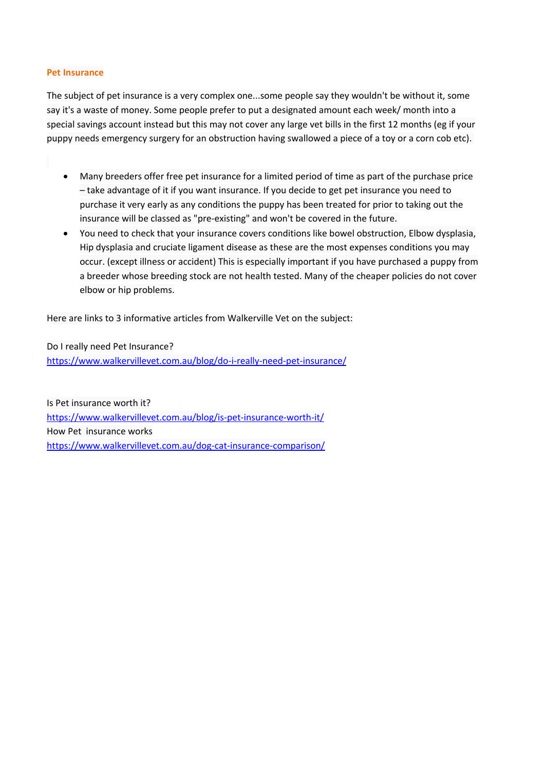#### **Pet Insurance**

The subject of pet insurance is a very complex one...some people say they wouldn't be without it, some say it's a waste of money. Some people prefer to put a designated amount each week/ month into a special savings account instead but this may not cover any large vet bills in the first 12 months (eg if your puppy needs emergency surgery for an obstruction having swallowed a piece of a toy or a corn cob etc).

- Many breeders offer free pet insurance for a limited period of time as part of the purchase price – take advantage of it if you want insurance. If you decide to get pet insurance you need to purchase it very early as any conditions the puppy has been treated for prior to taking out the insurance will be classed as "pre-existing" and won't be covered in the future.
- You need to check that your insurance covers conditions like bowel obstruction, Elbow dysplasia, Hip dysplasia and cruciate ligament disease as these are the most expenses conditions you may occur. (except illness or accident) This is especially important if you have purchased a puppy from a breeder whose breeding stock are not health tested. Many of the cheaper policies do not cover elbow or hip problems.

Here are links to 3 informative articles from Walkerville Vet on the subject:

Do I really need Pet Insurance? https://www.walkervillevet.com.au/blog/do-i-really-need-pet-insurance/

Is Pet insurance worth it? https://www.walkervillevet.com.au/blog/is-pet-insurance-worth-it/ How Pet insurance works https://www.walkervillevet.com.au/dog-cat-insurance-comparison/